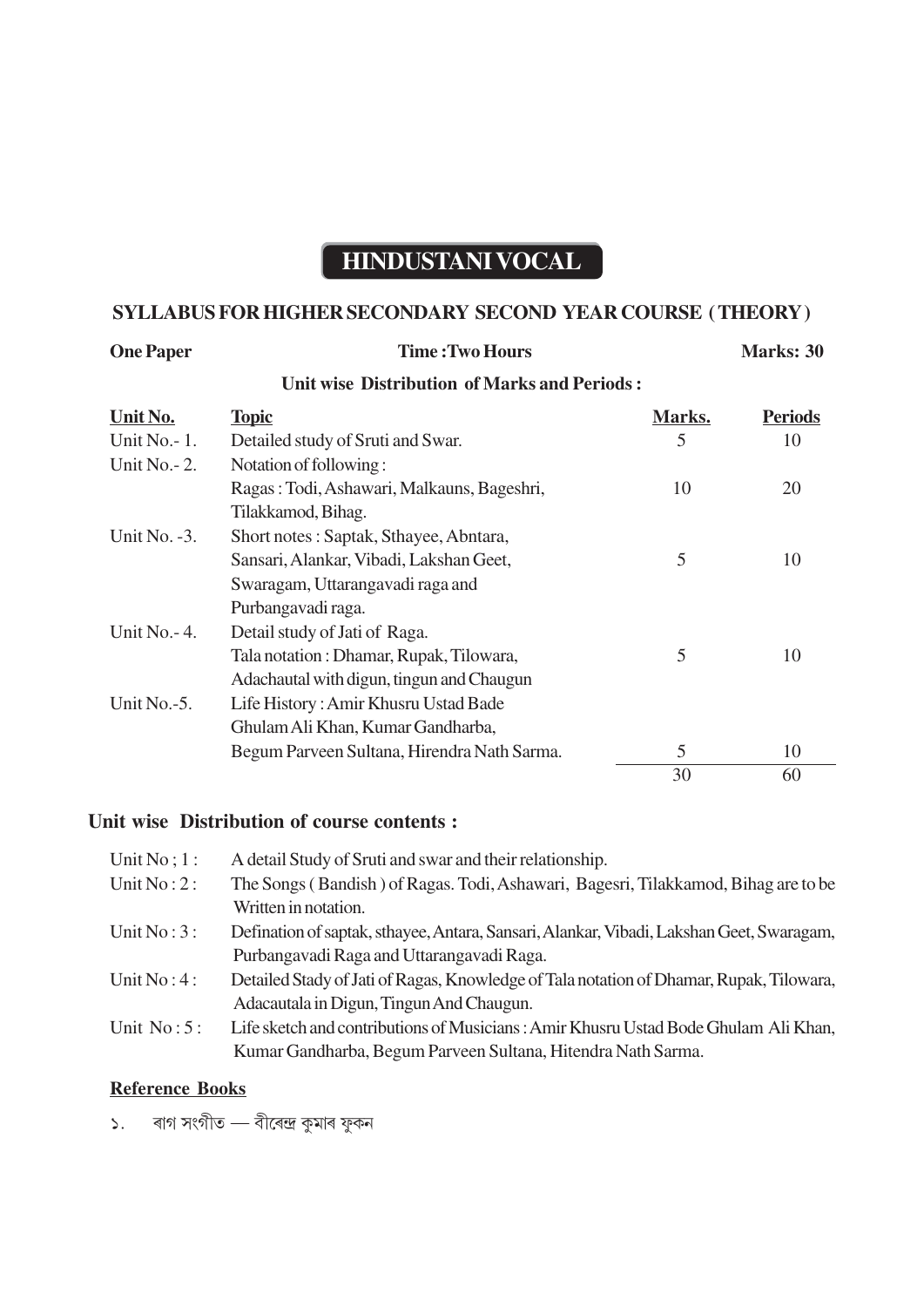# **HINDUSTANI VOCAL**

## **SYLLABUS FOR HIGHER SECONDARY SECOND YEAR COURSE ( THEORY )**

# **One Paper Time : Two Hours Marks: 30**

# **Unit wise Distribution of Marks and Periods :**

| Unit No.         | <b>Topic</b>                                | Marks. | <b>Periods</b> |
|------------------|---------------------------------------------|--------|----------------|
| Unit $No. - 1$ . | Detailed study of Sruti and Swar.           | 5      | 10             |
| Unit No. - 2.    | Notation of following:                      |        |                |
|                  | Ragas: Todi, Ashawari, Malkauns, Bageshri,  | 10     | 20             |
|                  | Tilakkamod, Bihag.                          |        |                |
| Unit No. $-3$ .  | Short notes: Saptak, Sthayee, Abntara,      |        |                |
|                  | Sansari, Alankar, Vibadi, Lakshan Geet,     | 5      | 10             |
|                  | Swaragam, Uttarangavadi raga and            |        |                |
|                  | Purbangavadi raga.                          |        |                |
| Unit No. - 4.    | Detail study of Jati of Raga.               |        |                |
|                  | Tala notation: Dhamar, Rupak, Tilowara,     | 5      | 10             |
|                  | Adachautal with digun, tingun and Chaugun   |        |                |
| Unit No.-5.      | Life History: Amir Khusru Ustad Bade        |        |                |
|                  | Ghulam Ali Khan, Kumar Gandharba,           |        |                |
|                  | Begum Parveen Sultana, Hirendra Nath Sarma. | 5      | 10             |
|                  |                                             | 30     | 60             |

### **Unit wise Distribution of course contents :**

| Unit $No$ ; 1: | A detail Study of Sruti and swar and their relationship.                                 |
|----------------|------------------------------------------------------------------------------------------|
| Unit $No:2:$   | The Songs (Bandish) of Ragas. Todi, Ashawari, Bagesri, Tilakkamod, Bihag are to be       |
|                | Written in notation.                                                                     |
| Unit $No:3:$   | Defination of saptak, sthayee, Antara, Sansari, Alankar, Vibadi, Lakshan Geet, Swaragam, |
|                | Purbangavadi Raga and Uttarangavadi Raga.                                                |
| Unit $No:4:$   | Detailed Stady of Jati of Ragas, Knowledge of Tala notation of Dhamar, Rupak, Tilowara,  |
|                | Adacautala in Digun, Tingun And Chaugun.                                                 |
| Unit $No:5:$   | Life sketch and contributions of Musicians: Amir Khusru Ustad Bode Ghulam Ali Khan,      |
|                | Kumar Gandharba, Begum Parveen Sultana, Hitendra Nath Sarma.                             |

### **Reference Books**

১. ৰাগ সংগীত — বীৰেন্দ্ৰ কুমাৰ ফুকন